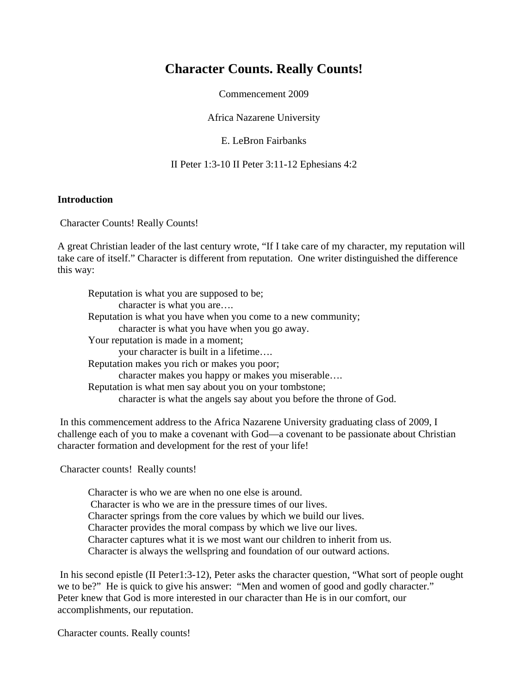# **Character Counts. Really Counts!**

Commencement 2009

Africa Nazarene University

E. LeBron Fairbanks

II Peter 1:3-10 II Peter 3:11-12 Ephesians 4:2

### **Introduction**

Character Counts! Really Counts!

A great Christian leader of the last century wrote, "If I take care of my character, my reputation will take care of itself." Character is different from reputation. One writer distinguished the difference this way:

Reputation is what you are supposed to be; character is what you are…. Reputation is what you have when you come to a new community; character is what you have when you go away. Your reputation is made in a moment; your character is built in a lifetime…. Reputation makes you rich or makes you poor; character makes you happy or makes you miserable…. Reputation is what men say about you on your tombstone; character is what the angels say about you before the throne of God.

 In this commencement address to the Africa Nazarene University graduating class of 2009, I challenge each of you to make a covenant with God—a covenant to be passionate about Christian character formation and development for the rest of your life!

Character counts! Really counts!

Character is who we are when no one else is around. Character is who we are in the pressure times of our lives. Character springs from the core values by which we build our lives. Character provides the moral compass by which we live our lives. Character captures what it is we most want our children to inherit from us. Character is always the wellspring and foundation of our outward actions.

 In his second epistle (II Peter1:3-12), Peter asks the character question, "What sort of people ought we to be?" He is quick to give his answer: "Men and women of good and godly character." Peter knew that God is more interested in our character than He is in our comfort, our accomplishments, our reputation.

Character counts. Really counts!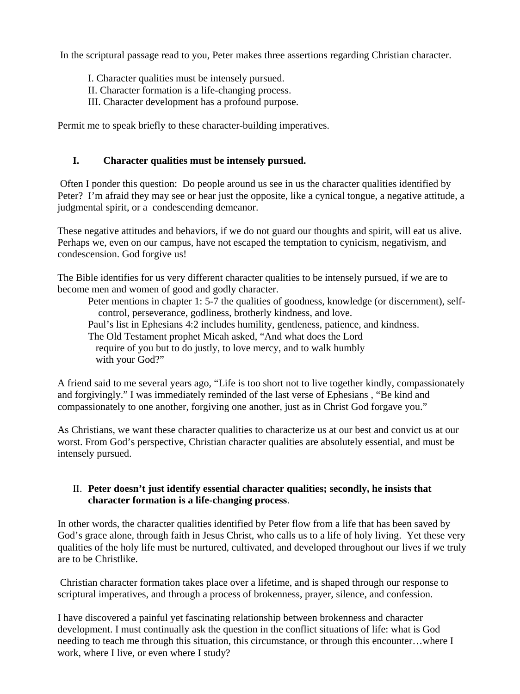In the scriptural passage read to you, Peter makes three assertions regarding Christian character.

- I. Character qualities must be intensely pursued.
- II. Character formation is a life-changing process.
- III. Character development has a profound purpose.

Permit me to speak briefly to these character-building imperatives.

# **I. Character qualities must be intensely pursued.**

 Often I ponder this question: Do people around us see in us the character qualities identified by Peter? I'm afraid they may see or hear just the opposite, like a cynical tongue, a negative attitude, a judgmental spirit, or a condescending demeanor.

These negative attitudes and behaviors, if we do not guard our thoughts and spirit, will eat us alive. Perhaps we, even on our campus, have not escaped the temptation to cynicism, negativism, and condescension. God forgive us!

The Bible identifies for us very different character qualities to be intensely pursued, if we are to become men and women of good and godly character.

Peter mentions in chapter 1: 5-7 the qualities of goodness, knowledge (or discernment), self control, perseverance, godliness, brotherly kindness, and love. Paul's list in Ephesians 4:2 includes humility, gentleness, patience, and kindness. The Old Testament prophet Micah asked, "And what does the Lord require of you but to do justly, to love mercy, and to walk humbly with your God?"

A friend said to me several years ago, "Life is too short not to live together kindly, compassionately and forgivingly." I was immediately reminded of the last verse of Ephesians , "Be kind and compassionately to one another, forgiving one another, just as in Christ God forgave you."

As Christians, we want these character qualities to characterize us at our best and convict us at our worst. From God's perspective, Christian character qualities are absolutely essential, and must be intensely pursued.

# II. **Peter doesn't just identify essential character qualities; secondly, he insists that character formation is a life-changing process**.

In other words, the character qualities identified by Peter flow from a life that has been saved by God's grace alone, through faith in Jesus Christ, who calls us to a life of holy living. Yet these very qualities of the holy life must be nurtured, cultivated, and developed throughout our lives if we truly are to be Christlike.

 Christian character formation takes place over a lifetime, and is shaped through our response to scriptural imperatives, and through a process of brokenness, prayer, silence, and confession.

I have discovered a painful yet fascinating relationship between brokenness and character development. I must continually ask the question in the conflict situations of life: what is God needing to teach me through this situation, this circumstance, or through this encounter…where I work, where I live, or even where I study?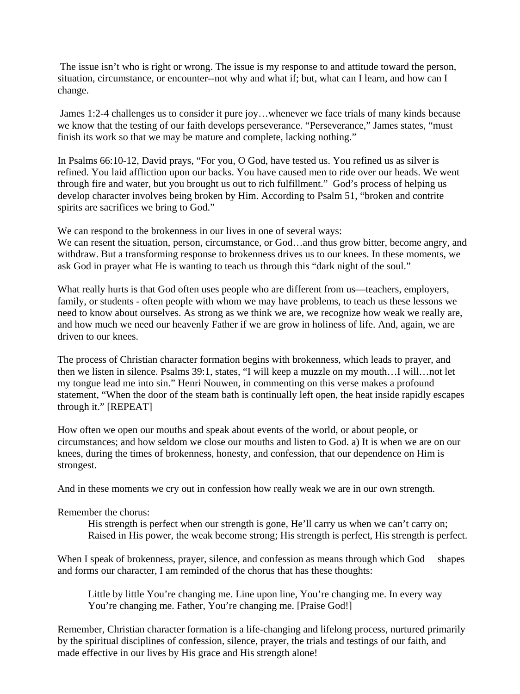The issue isn't who is right or wrong. The issue is my response to and attitude toward the person, situation, circumstance, or encounter--not why and what if; but, what can I learn, and how can I change.

 James 1:2-4 challenges us to consider it pure joy…whenever we face trials of many kinds because we know that the testing of our faith develops perseverance. "Perseverance," James states, "must finish its work so that we may be mature and complete, lacking nothing."

In Psalms 66:10-12, David prays, "For you, O God, have tested us. You refined us as silver is refined. You laid affliction upon our backs. You have caused men to ride over our heads. We went through fire and water, but you brought us out to rich fulfillment." God's process of helping us develop character involves being broken by Him. According to Psalm 51, "broken and contrite spirits are sacrifices we bring to God."

We can respond to the brokenness in our lives in one of several ways:

We can resent the situation, person, circumstance, or God...and thus grow bitter, become angry, and withdraw. But a transforming response to brokenness drives us to our knees. In these moments, we ask God in prayer what He is wanting to teach us through this "dark night of the soul."

What really hurts is that God often uses people who are different from us—teachers, employers, family, or students - often people with whom we may have problems, to teach us these lessons we need to know about ourselves. As strong as we think we are, we recognize how weak we really are, and how much we need our heavenly Father if we are grow in holiness of life. And, again, we are driven to our knees.

The process of Christian character formation begins with brokenness, which leads to prayer, and then we listen in silence. Psalms 39:1, states, "I will keep a muzzle on my mouth…I will…not let my tongue lead me into sin." Henri Nouwen, in commenting on this verse makes a profound statement, "When the door of the steam bath is continually left open, the heat inside rapidly escapes through it." [REPEAT]

How often we open our mouths and speak about events of the world, or about people, or circumstances; and how seldom we close our mouths and listen to God. a) It is when we are on our knees, during the times of brokenness, honesty, and confession, that our dependence on Him is strongest.

And in these moments we cry out in confession how really weak we are in our own strength.

#### Remember the chorus:

His strength is perfect when our strength is gone, He'll carry us when we can't carry on; Raised in His power, the weak become strong; His strength is perfect, His strength is perfect.

When I speak of brokenness, prayer, silence, and confession as means through which God shapes and forms our character, I am reminded of the chorus that has these thoughts:

Little by little You're changing me. Line upon line, You're changing me. In every way You're changing me. Father, You're changing me. [Praise God!]

Remember, Christian character formation is a life-changing and lifelong process, nurtured primarily by the spiritual disciplines of confession, silence, prayer, the trials and testings of our faith, and made effective in our lives by His grace and His strength alone!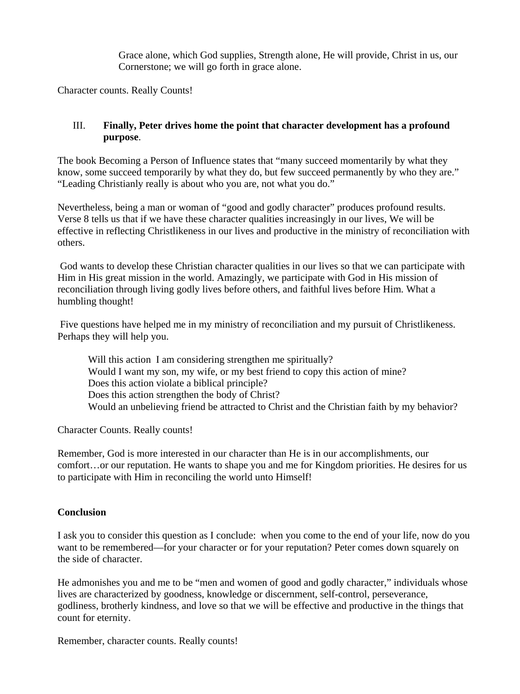Grace alone, which God supplies, Strength alone, He will provide, Christ in us, our Cornerstone; we will go forth in grace alone.

Character counts. Really Counts!

## III. **Finally, Peter drives home the point that character development has a profound purpose**.

The book Becoming a Person of Influence states that "many succeed momentarily by what they know, some succeed temporarily by what they do, but few succeed permanently by who they are." "Leading Christianly really is about who you are, not what you do."

Nevertheless, being a man or woman of "good and godly character" produces profound results. Verse 8 tells us that if we have these character qualities increasingly in our lives, We will be effective in reflecting Christlikeness in our lives and productive in the ministry of reconciliation with others.

 God wants to develop these Christian character qualities in our lives so that we can participate with Him in His great mission in the world. Amazingly, we participate with God in His mission of reconciliation through living godly lives before others, and faithful lives before Him. What a humbling thought!

 Five questions have helped me in my ministry of reconciliation and my pursuit of Christlikeness. Perhaps they will help you.

Will this action I am considering strengthen me spiritually? Would I want my son, my wife, or my best friend to copy this action of mine? Does this action violate a biblical principle? Does this action strengthen the body of Christ? Would an unbelieving friend be attracted to Christ and the Christian faith by my behavior?

Character Counts. Really counts!

Remember, God is more interested in our character than He is in our accomplishments, our comfort…or our reputation. He wants to shape you and me for Kingdom priorities. He desires for us to participate with Him in reconciling the world unto Himself!

### **Conclusion**

I ask you to consider this question as I conclude: when you come to the end of your life, now do you want to be remembered—for your character or for your reputation? Peter comes down squarely on the side of character.

He admonishes you and me to be "men and women of good and godly character," individuals whose lives are characterized by goodness, knowledge or discernment, self-control, perseverance, godliness, brotherly kindness, and love so that we will be effective and productive in the things that count for eternity.

Remember, character counts. Really counts!